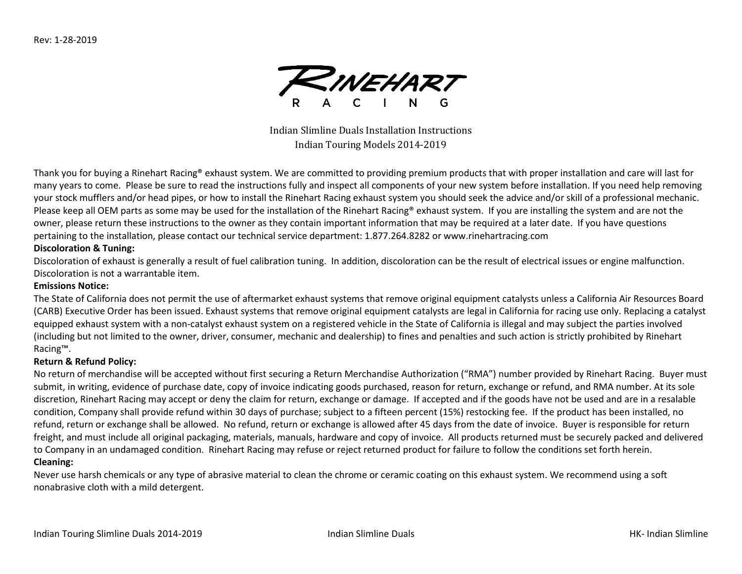

Indian Slimline Duals Installation Instructions Indian Touring Models 2014-2019

Thank you for buying a Rinehart Racing® exhaust system. We are committed to providing premium products that with proper installation and care will last for many years to come. Please be sure to read the instructions fully and inspect all components of your new system before installation. If you need help removing your stock mufflers and/or head pipes, or how to install the Rinehart Racing exhaust system you should seek the advice and/or skill of a professional mechanic. Please keep all OEM parts as some may be used for the installation of the Rinehart Racing® exhaust system. If you are installing the system and are not the owner, please return these instructions to the owner as they contain important information that may be required at a later date. If you have questions pertaining to the installation, please contact our technical service department: 1.877.264.8282 or www.rinehartracing.com

### **Discoloration & Tuning:**

Discoloration of exhaust is generally a result of fuel calibration tuning. In addition, discoloration can be the result of electrical issues or engine malfunction. Discoloration is not a warrantable item.

#### **Emissions Notice:**

The State of California does not permit the use of aftermarket exhaust systems that remove original equipment catalysts unless a California Air Resources Board (CARB) Executive Order has been issued. Exhaust systems that remove original equipment catalysts are legal in California for racing use only. Replacing a catalyst equipped exhaust system with a non-catalyst exhaust system on a registered vehicle in the State of California is illegal and may subject the parties involved (including but not limited to the owner, driver, consumer, mechanic and dealership) to fines and penalties and such action is strictly prohibited by Rinehart Racing™.

### **Return & Refund Policy:**

No return of merchandise will be accepted without first securing a Return Merchandise Authorization ("RMA") number provided by Rinehart Racing. Buyer must submit, in writing, evidence of purchase date, copy of invoice indicating goods purchased, reason for return, exchange or refund, and RMA number. At its sole discretion, Rinehart Racing may accept or deny the claim for return, exchange or damage. If accepted and if the goods have not be used and are in a resalable condition, Company shall provide refund within 30 days of purchase; subject to a fifteen percent (15%) restocking fee. If the product has been installed, no refund, return or exchange shall be allowed. No refund, return or exchange is allowed after 45 days from the date of invoice. Buyer is responsible for return freight, and must include all original packaging, materials, manuals, hardware and copy of invoice. All products returned must be securely packed and delivered to Company in an undamaged condition. Rinehart Racing may refuse or reject returned product for failure to follow the conditions set forth herein.

#### **Cleaning:**

Never use harsh chemicals or any type of abrasive material to clean the chrome or ceramic coating on this exhaust system. We recommend using a soft nonabrasive cloth with a mild detergent.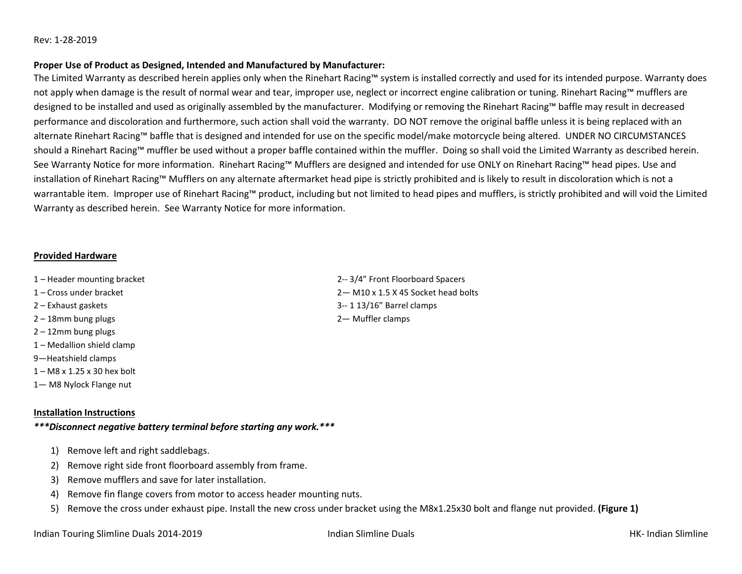#### Rev: 1-28-2019

#### **Proper Use of Product as Designed, Intended and Manufactured by Manufacturer:**

The Limited Warranty as described herein applies only when the Rinehart Racing™ system is installed correctly and used for its intended purpose. Warranty does not apply when damage is the result of normal wear and tear, improper use, neglect or incorrect engine calibration or tuning. Rinehart Racing™ mufflers are designed to be installed and used as originally assembled by the manufacturer. Modifying or removing the Rinehart Racing™ baffle may result in decreased performance and discoloration and furthermore, such action shall void the warranty. DO NOT remove the original baffle unless it is being replaced with an alternate Rinehart Racing™ baffle that is designed and intended for use on the specific model/make motorcycle being altered. UNDER NO CIRCUMSTANCES should a Rinehart Racing™ muffler be used without a proper baffle contained within the muffler. Doing so shall void the Limited Warranty as described herein. See Warranty Notice for more information. Rinehart Racing™ Mufflers are designed and intended for use ONLY on Rinehart Racing™ head pipes. Use and installation of Rinehart Racing™ Mufflers on any alternate aftermarket head pipe is strictly prohibited and is likely to result in discoloration which is not a warrantable item. Improper use of Rinehart Racing™ product, including but not limited to head pipes and mufflers, is strictly prohibited and will void the Limited Warranty as described herein. See Warranty Notice for more information.

#### **Provided Hardware**

- 1 Header mounting bracket 2-- 3/4" Front Floorboard Spacers
- 1 Cross under bracket 2— M10 x 1.5 X 45 Socket head bolts
- 2 Exhaust gaskets 3-- 1 13/16" Barrel clamps
- 2 18mm bung plugs 2— Muffler clamps
- 2 12mm bung plugs
- 1 Medallion shield clamp
- 9—Heatshield clamps
- 1 M8 x 1.25 x 30 hex bolt
- 1— M8 Nylock Flange nut

#### **Installation Instructions**

## *\*\*\*Disconnect negative battery terminal before starting any work.\*\*\**

- 1) Remove left and right saddlebags.
- 2) Remove right side front floorboard assembly from frame.
- 3) Remove mufflers and save for later installation.
- 4) Remove fin flange covers from motor to access header mounting nuts.
- 5) Remove the cross under exhaust pipe. Install the new cross under bracket using the M8x1.25x30 bolt and flange nut provided. **(Figure 1)**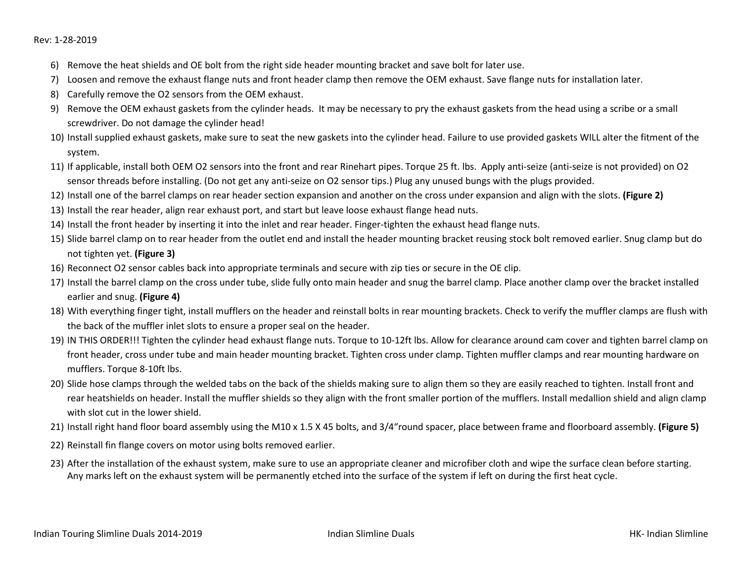- 6) Remove the heat shields and OE bolt from the right side header mounting bracket and save bolt for later use.
- 7) Loosen and remove the exhaust flange nuts and front header clamp then remove the OEM exhaust. Save flange nuts for installation later.
- 8) Carefully remove the O2 sensors from the OEM exhaust.
- 9) Remove the OEM exhaust gaskets from the cylinder heads. It may be necessary to pry the exhaust gaskets from the head using a scribe or a small screwdriver. Do not damage the cylinder head!
- 10) Install supplied exhaust gaskets, make sure to seat the new gaskets into the cylinder head. Failure to use provided gaskets WILL alter the fitment of the system.
- 11) If applicable, install both OEM O2 sensors into the front and rear Rinehart pipes. Torque 25 ft. lbs. Apply anti-seize (anti-seize is not provided) on O2 sensor threads before installing. (Do not get any anti-seize on O2 sensor tips.) Plug any unused bungs with the plugs provided.
- 12) Install one of the barrel clamps on rear header section expansion and another on the cross under expansion and align with the slots. **(Figure 2)**
- 13) Install the rear header, align rear exhaust port, and start but leave loose exhaust flange head nuts.
- 14) Install the front header by inserting it into the inlet and rear header. Finger-tighten the exhaust head flange nuts.
- 15) Slide barrel clamp on to rear header from the outlet end and install the header mounting bracket reusing stock bolt removed earlier. Snug clamp but do not tighten yet. **(Figure 3)**
- 16) Reconnect O2 sensor cables back into appropriate terminals and secure with zip ties or secure in the OE clip.
- 17) Install the barrel clamp on the cross under tube, slide fully onto main header and snug the barrel clamp. Place another clamp over the bracket installed earlier and snug. **(Figure 4)**
- 18) With everything finger tight, install mufflers on the header and reinstall bolts in rear mounting brackets. Check to verify the muffler clamps are flush with the back of the muffler inlet slots to ensure a proper seal on the header.
- 19) IN THIS ORDER!!! Tighten the cylinder head exhaust flange nuts. Torque to 10-12ft lbs. Allow for clearance around cam cover and tighten barrel clamp on front header, cross under tube and main header mounting bracket. Tighten cross under clamp. Tighten muffler clamps and rear mounting hardware on mufflers. Torque 8-10ft lbs.
- 20) Slide hose clamps through the welded tabs on the back of the shields making sure to align them so they are easily reached to tighten. Install front and rear heatshields on header. Install the muffler shields so they align with the front smaller portion of the mufflers. Install medallion shield and align clamp with slot cut in the lower shield.
- 21) Install right hand floor board assembly using the M10 x 1.5 X 45 bolts, and 3/4"round spacer, place between frame and floorboard assembly. **(Figure 5)**
- 22) Reinstall fin flange covers on motor using bolts removed earlier.
- 23) After the installation of the exhaust system, make sure to use an appropriate cleaner and microfiber cloth and wipe the surface clean before starting. Any marks left on the exhaust system will be permanently etched into the surface of the system if left on during the first heat cycle.